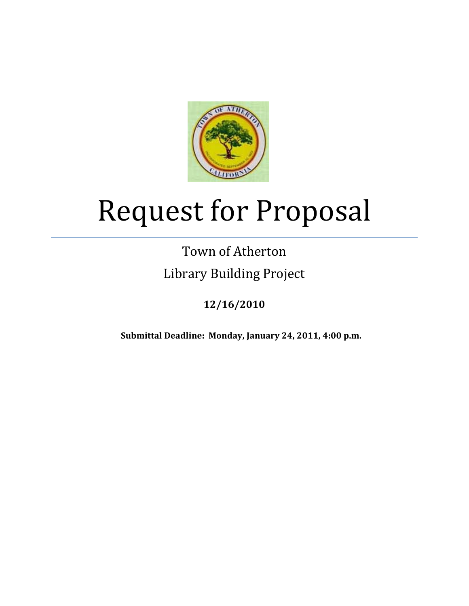

# Request for Proposal

# Town of Atherton Library Building Project

# **12/16/2010**

**Submittal Deadline: Monday, January 24, 2011, 4:00 p.m.**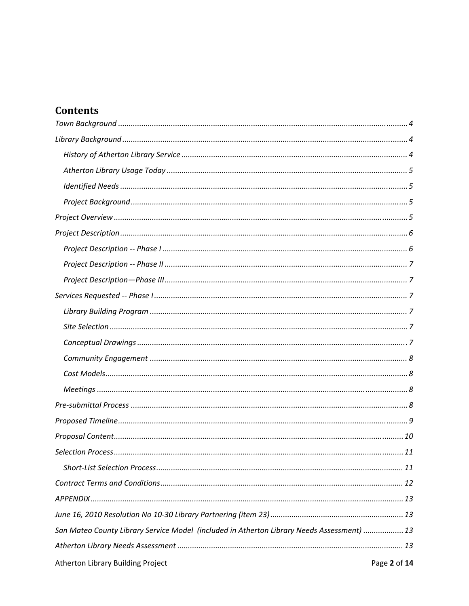## **Contents**

| 13. San Mateo County Library Service Model (included in Atherton Library Needs Assessment)  13 |
|------------------------------------------------------------------------------------------------|
|                                                                                                |
| Atherton Library Building Project<br>Page 2 of 14                                              |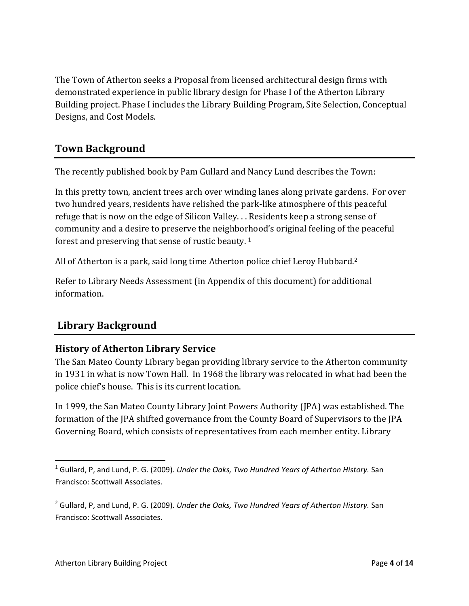The Town of Atherton seeks a Proposal from licensed architectural design firms with demonstrated experience in public library design for Phase I of the Atherton Library Building project. Phase I includes the Library Building Program, Site Selection, Conceptual Designs, and Cost Models.

#### **Town Background**

The recently published book by Pam Gullard and Nancy Lund describes the Town:

In this pretty town, ancient trees arch over winding lanes along private gardens. For over two hundred years, residents have relished the park‐like atmosphere of this peaceful refuge that is now on the edge of Silicon Valley. . . Residents keep a strong sense of community and a desire to preserve the neighborhood's original feeling of the peaceful forest and preserving that sense of rustic beauty. 1

All of Atherton is a park, said long time Atherton police chief Leroy Hubbard.2

Refer to Library Needs Assessment (in Appendix of this document) for additional information.

### **Library Background**

#### **History of Atherton Library Service**

The San Mateo County Library began providing library service to the Atherton community in 1931 in what is now Town Hall. In 1968 the library was relocated in what had been the police chief's house. This is its current location.

In 1999, the San Mateo County Library Joint Powers Authority (JPA) was established. The formation of the JPA shifted governance from the County Board of Supervisors to the JPA Governing Board, which consists of representatives from each member entity. Library

<sup>1</sup> Gullard, P, and Lund, P. G. (2009). *Under the Oaks, Two Hundred Years of Atherton History.* San Francisco: Scottwall Associates.

<sup>2</sup> Gullard, P, and Lund, P. G. (2009). *Under the Oaks, Two Hundred Years of Atherton History.* San Francisco: Scottwall Associates.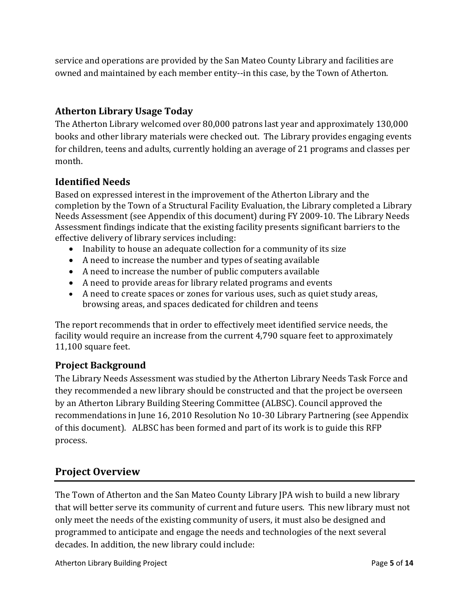service and operations are provided by the San Mateo County Library and facilities are owned and maintained by each member entity--in this case, by the Town of Atherton.

#### **Atherton Library Usage Today**

The Atherton Library welcomed over 80,000 patrons last year and approximately 130,000 books and other library materials were checked out. The Library provides engaging events for children, teens and adults, currently holding an average of 21 programs and classes per month.

#### **Identified Needs**

Based on expressed interest in the improvement of the Atherton Library and the completion by the Town of a Structural Facility Evaluation, the Library completed a Library Needs Assessment (see Appendix of this document) during FY 2009‐10. The Library Needs Assessment findings indicate that the existing facility presents significant barriers to the effective delivery of library services including:

- Inability to house an adequate collection for a community of its size
- A need to increase the number and types of seating available
- A need to increase the number of public computers available
- A need to provide areas for library related programs and events
- A need to create spaces or zones for various uses, such as quiet study areas, browsing areas, and spaces dedicated for children and teens

The report recommends that in order to effectively meet identified service needs, the facility would require an increase from the current 4,790 square feet to approximately 11,100 square feet.

#### **Project Background**

The Library Needs Assessment was studied by the Atherton Library Needs Task Force and they recommended a new library should be constructed and that the project be overseen by an Atherton Library Building Steering Committee (ALBSC). Council approved the recommendations in June 16, 2010 Resolution No 10‐30 Library Partnering (see Appendix of this document). ALBSC has been formed and part of its work is to guide this RFP process.

#### **Project Overview**

The Town of Atherton and the San Mateo County Library JPA wish to build a new library that will better serve its community of current and future users. This new library must not only meet the needs of the existing community of users, it must also be designed and programmed to anticipate and engage the needs and technologies of the next several decades. In addition, the new library could include: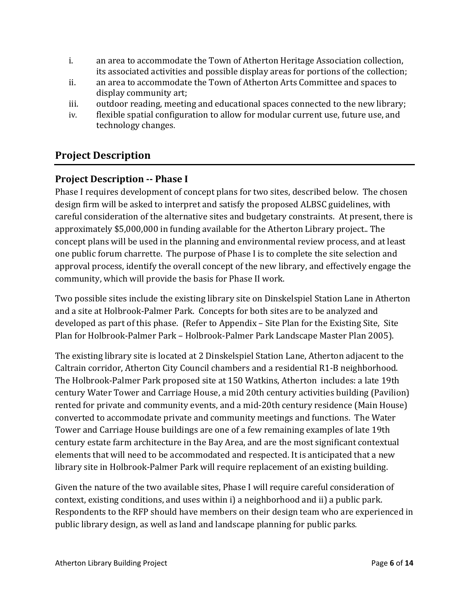- i. an area to accommodate the Town of Atherton Heritage Association collection, its associated activities and possible display areas for portions of the collection;
- ii. an area to accommodate the Town of Atherton Arts Committee and spaces to display community art;
- iii. outdoor reading, meeting and educational spaces connected to the new library;
- iv. flexible spatial configuration to allow for modular current use, future use, and technology changes.

#### **Project Description**

#### **Project Description Phase I**

Phase I requires development of concept plans for two sites, described below. The chosen design firm will be asked to interpret and satisfy the proposed ALBSC guidelines, with careful consideration of the alternative sites and budgetary constraints. At present, there is approximately \$5,000,000 in funding available for the Atherton Library project.. The concept plans will be used in the planning and environmental review process, and at least one public forum charrette. The purpose of Phase I is to complete the site selection and approval process, identify the overall concept of the new library, and effectively engage the community, which will provide the basis for Phase II work.

Two possible sites include the existing library site on Dinskelspiel Station Lane in Atherton and a site at Holbrook‐Palmer Park. Concepts for both sites are to be analyzed and developed as part of this phase. (Refer to Appendix – Site Plan for the Existing Site, Site Plan for Holbrook‐Palmer Park – Holbrook‐Palmer Park Landscape Master Plan 2005).

The existing library site is located at 2 Dinskelspiel Station Lane, Atherton adjacent to the Caltrain corridor, Atherton City Council chambers and a residential R1‐B neighborhood. The Holbrook‐Palmer Park proposed site at 150 Watkins, Atherton includes: a late 19th century Water Tower and Carriage House, a mid 20th century activities building (Pavilion) rented for private and community events, and a mid‐20th century residence (Main House) converted to accommodate private and community meetings and functions. The Water Tower and Carriage House buildings are one of a few remaining examples of late 19th century estate farm architecture in the Bay Area, and are the most significant contextual elements that will need to be accommodated and respected. It is anticipated that a new library site in Holbrook‐Palmer Park will require replacement of an existing building.

Given the nature of the two available sites, Phase I will require careful consideration of context, existing conditions, and uses within i) a neighborhood and ii) a public park. Respondents to the RFP should have members on their design team who are experienced in public library design, as well as land and landscape planning for public parks.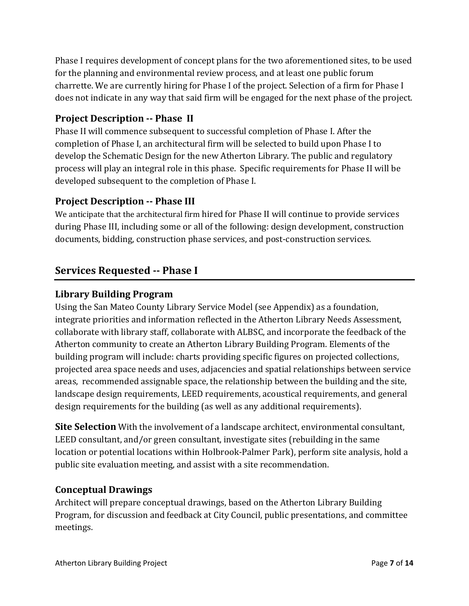Phase I requires development of concept plans for the two aforementioned sites, to be used for the planning and environmental review process, and at least one public forum charrette. We are currently hiring for Phase I of the project. Selection of a firm for Phase I does not indicate in any way that said firm will be engaged for the next phase of the project.

#### **Project Description Phase II**

Phase II will commence subsequent to successful completion of Phase I. After the completion of Phase I, an architectural firm will be selected to build upon Phase I to develop the Schematic Design for the new Atherton Library. The public and regulatory process will play an integral role in this phase. Specific requirements for Phase II will be developed subsequent to the completion of Phase I.

#### **Project Description Phase III**

We anticipate that the architectural firm hired for Phase II will continue to provide services during Phase III, including some or all of the following: design development, construction documents, bidding, construction phase services, and post-construction services.

#### **Services Requested Phase I**

#### **Library Building Program**

Using the San Mateo County Library Service Model (see Appendix) as a foundation, integrate priorities and information reflected in the Atherton Library Needs Assessment, collaborate with library staff, collaborate with ALBSC, and incorporate the feedback of the Atherton community to create an Atherton Library Building Program. Elements of the building program will include: charts providing specific figures on projected collections, projected area space needs and uses, adjacencies and spatial relationships between service areas, recommended assignable space, the relationship between the building and the site, landscape design requirements, LEED requirements, acoustical requirements, and general design requirements for the building (as well as any additional requirements).

**Site Selection** With the involvement of a landscape architect, environmental consultant, LEED consultant, and/or green consultant, investigate sites (rebuilding in the same location or potential locations within Holbrook‐Palmer Park), perform site analysis, hold a public site evaluation meeting, and assist with a site recommendation.

#### **Conceptual Drawings**

Architect will prepare conceptual drawings, based on the Atherton Library Building Program, for discussion and feedback at City Council, public presentations, and committee meetings.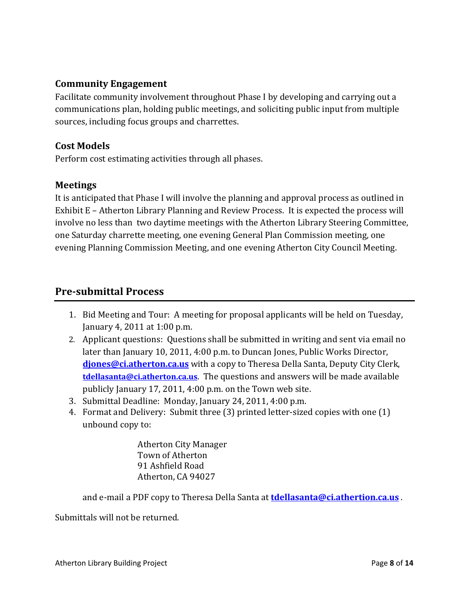#### **Community Engagement**

Facilitate community involvement throughout Phase I by developing and carrying out a communications plan, holding public meetings, and soliciting public input from multiple sources, including focus groups and charrettes.

#### **Cost Models**

Perform cost estimating activities through all phases.

#### **Meetings**

It is anticipated that Phase I will involve the planning and approval process as outlined in Exhibit E – Atherton Library Planning and Review Process. It is expected the process will involve no less than two daytime meetings with the Atherton Library Steering Committee, one Saturday charrette meeting, one evening General Plan Commission meeting, one evening Planning Commission Meeting, and one evening Atherton City Council Meeting.

#### **Presubmittal Process**

- 1. Bid Meeting and Tour: A meeting for proposal applicants will be held on Tuesday, January 4, 2011 at 1:00 p.m.
- 2. Applicant questions: Questions shall be submitted in writing and sent via email no later than January 10, 2011, 4:00 p.m. to Duncan Jones, Public Works Director, **djones@ci.atherton.ca.us** with a copy to Theresa Della Santa, Deputy City Clerk, **tdellasanta@ci.atherton.ca.us**. The questions and answers will be made available publicly January 17, 2011, 4:00 p.m. on the Town web site.
- 3. Submittal Deadline: Monday, January 24, 2011, 4:00 p.m.
- 4. Format and Delivery: Submit three (3) printed letter-sized copies with one (1) unbound copy to:

Atherton City Manager Town of Atherton 91 Ashfield Road Atherton, CA 94027

and e‐mail a PDF copy to Theresa Della Santa at **tdellasanta@ci.athertion.ca.us** .

Submittals will not be returned.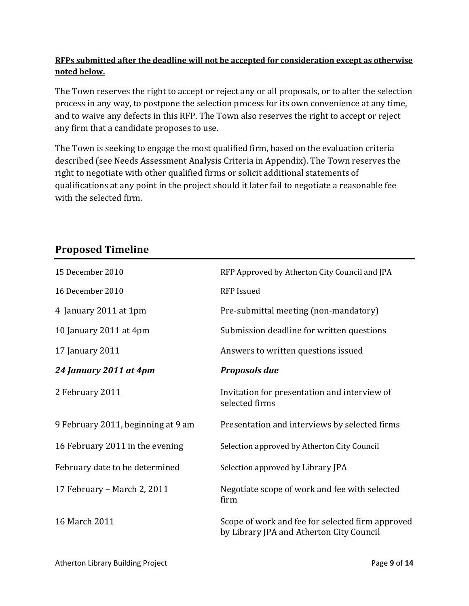#### **RFPs submitted after the deadline will not be accepted for consideration except as otherwise noted below.**

The Town reserves the right to accept or reject any or all proposals, or to alter the selection process in any way, to postpone the selection process for its own convenience at any time, and to waive any defects in this RFP. The Town also reserves the right to accept or reject any firm that a candidate proposes to use.

The Town is seeking to engage the most qualified firm, based on the evaluation criteria described (see Needs Assessment Analysis Criteria in Appendix). The Town reserves the right to negotiate with other qualified firms or solicit additional statements of qualifications at any point in the project should it later fail to negotiate a reasonable fee with the selected firm.

# 15 December 2010 RFP Approved by Atherton City Council and JPA 16 December 2010 **RFP** Issued 4 January 2011 at 1pm Pre‐submittal meeting (non‐mandatory) 10 January 2011 at 4pm Submission deadline for written questions 17 January 2011 Answers to written questions issued *24 January 2011 at 4pm Proposals due* 2 February 2011 Invitation for presentation and interview of selected firms 9 February 2011, beginning at 9 am Presentation and interviews by selected firms 16 February 2011 in the evening Selection approved by Atherton City Council February date to be determined Selection approved by Library JPA 17 February – March 2, 2011 Negotiate scope of work and fee with selected firm 16 March 2011 Scope of work and fee for selected firm approved by Library JPA and Atherton City Council

## **Proposed Timeline**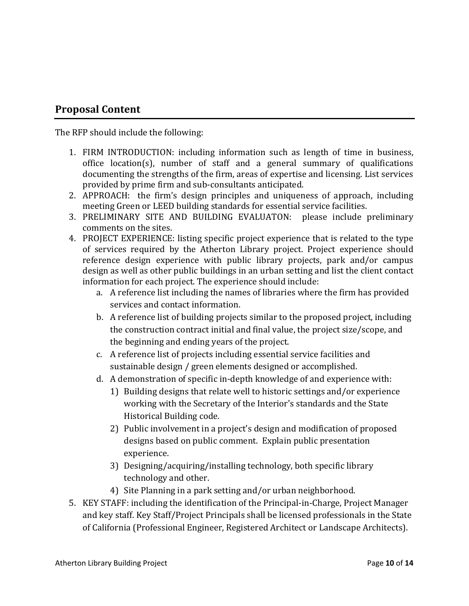#### **Proposal Content**

The RFP should include the following:

- 1. FIRM INTRODUCTION: including information such as length of time in business, office location(s), number of staff and a general summary of qualifications documenting the strengths of the firm, areas of expertise and licensing. List services provided by prime firm and sub‐consultants anticipated.
- 2. APPROACH: the firm's design principles and uniqueness of approach, including meeting Green or LEED building standards for essential service facilities.
- 3. PRELIMINARY SITE AND BUILDING EVALUATON: please include preliminary comments on the sites.
- 4. PROJECT EXPERIENCE: listing specific project experience that is related to the type of services required by the Atherton Library project. Project experience should reference design experience with public library projects, park and/or campus design as well as other public buildings in an urban setting and list the client contact information for each project. The experience should include:
	- a. A reference list including the names of libraries where the firm has provided services and contact information.
	- b. A reference list of building projects similar to the proposed project, including the construction contract initial and final value, the project size/scope, and the beginning and ending years of the project.
	- c. A reference list of projects including essential service facilities and sustainable design / green elements designed or accomplished.
	- d. A demonstration of specific in‐depth knowledge of and experience with:
		- 1) Building designs that relate well to historic settings and/or experience working with the Secretary of the Interior's standards and the State Historical Building code.
		- 2) Public involvement in a project's design and modification of proposed designs based on public comment. Explain public presentation experience.
		- 3) Designing/acquiring/installing technology, both specific library technology and other.
		- 4) Site Planning in a park setting and/or urban neighborhood.
- 5. KEY STAFF: including the identification of the Principal‐in‐Charge, Project Manager and key staff. Key Staff/Project Principals shall be licensed professionals in the State of California (Professional Engineer, Registered Architect or Landscape Architects).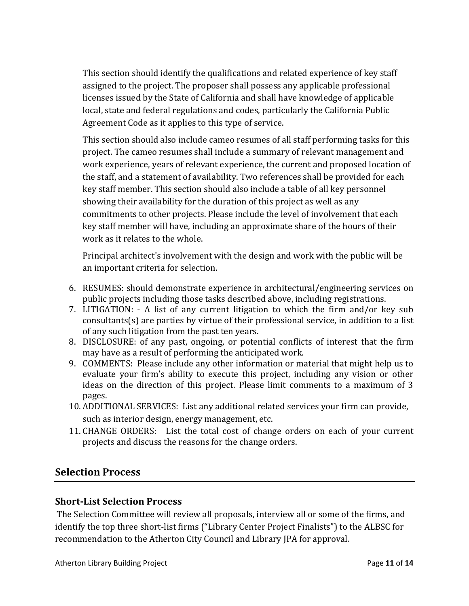This section should identify the qualifications and related experience of key staff assigned to the project. The proposer shall possess any applicable professional licenses issued by the State of California and shall have knowledge of applicable local, state and federal regulations and codes, particularly the California Public Agreement Code as it applies to this type of service.

This section should also include cameo resumes of all staff performing tasks for this project. The cameo resumes shall include a summary of relevant management and work experience, years of relevant experience, the current and proposed location of the staff, and a statement of availability. Two references shall be provided for each key staff member. This section should also include a table of all key personnel showing their availability for the duration of this project as well as any commitments to other projects. Please include the level of involvement that each key staff member will have, including an approximate share of the hours of their work as it relates to the whole.

Principal architect's involvement with the design and work with the public will be an important criteria for selection.

- 6. RESUMES: should demonstrate experience in architectural/engineering services on public projects including those tasks described above, including registrations.
- 7. LITIGATION: ‐ A list of any current litigation to which the firm and/or key sub consultants(s) are parties by virtue of their professional service, in addition to a list of any such litigation from the past ten years.
- 8. DISCLOSURE: of any past, ongoing, or potential conflicts of interest that the firm may have as a result of performing the anticipated work.
- 9. COMMENTS: Please include any other information or material that might help us to evaluate your firm's ability to execute this project, including any vision or other ideas on the direction of this project. Please limit comments to a maximum of 3 pages.
- 10. ADDITIONAL SERVICES: List any additional related services your firm can provide, such as interior design, energy management, etc.
- 11. CHANGE ORDERS: List the total cost of change orders on each of your current projects and discuss the reasons for the change orders.

#### **Selection Process**

#### **ShortList Selection Process**

The Selection Committee will review all proposals, interview all or some of the firms, and identify the top three short‐list firms ("Library Center Project Finalists") to the ALBSC for recommendation to the Atherton City Council and Library JPA for approval.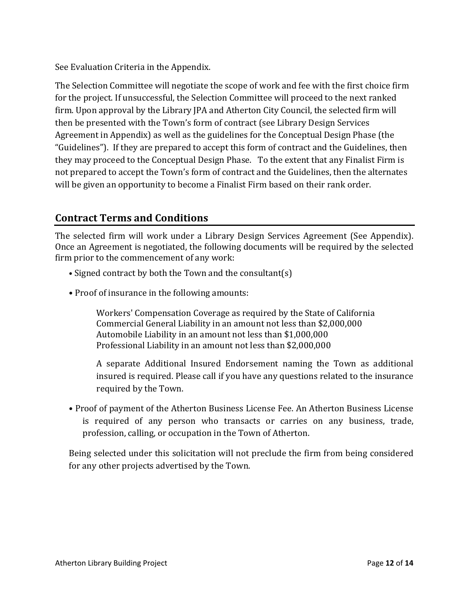See Evaluation Criteria in the Appendix.

The Selection Committee will negotiate the scope of work and fee with the first choice firm for the project. If unsuccessful, the Selection Committee will proceed to the next ranked firm. Upon approval by the Library JPA and Atherton City Council, the selected firm will then be presented with the Town's form of contract (see Library Design Services Agreement in Appendix) as well as the guidelines for the Conceptual Design Phase (the "Guidelines"). If they are prepared to accept this form of contract and the Guidelines, then they may proceed to the Conceptual Design Phase. To the extent that any Finalist Firm is not prepared to accept the Town's form of contract and the Guidelines, then the alternates will be given an opportunity to become a Finalist Firm based on their rank order.

#### **Contract Terms and Conditions**

The selected firm will work under a Library Design Services Agreement (See Appendix). Once an Agreement is negotiated, the following documents will be required by the selected firm prior to the commencement of any work:

- Signed contract by both the Town and the consultant(s)
- Proof of insurance in the following amounts:

Workers' Compensation Coverage as required by the State of California Commercial General Liability in an amount not less than \$2,000,000 Automobile Liability in an amount not less than \$1,000,000 Professional Liability in an amount not less than \$2,000,000

A separate Additional Insured Endorsement naming the Town as additional insured is required. Please call if you have any questions related to the insurance required by the Town.

• Proof of payment of the Atherton Business License Fee. An Atherton Business License is required of any person who transacts or carries on any business, trade, profession, calling, or occupation in the Town of Atherton.

Being selected under this solicitation will not preclude the firm from being considered for any other projects advertised by the Town.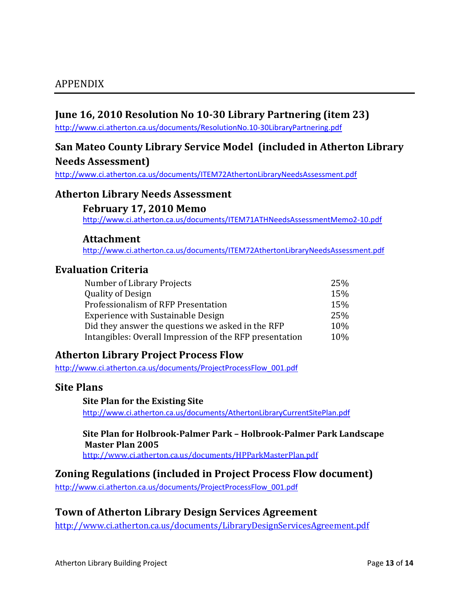#### **June 16, 2010 Resolution No 1030 Library Partnering (item 23)**

http://www.ci.atherton.ca.us/documents/ResolutionNo.10‐30LibraryPartnering.pdf

#### **San Mateo County Library Service Model (included in Atherton Library Needs Assessment)**

http://www.ci.atherton.ca.us/documents/ITEM72AthertonLibraryNeedsAssessment.pdf

#### **Atherton Library Needs Assessment**

#### **February 17, 2010 Memo**

http://www.ci.atherton.ca.us/documents/ITEM71ATHNeedsAssessmentMemo2‐10.pdf

#### **Attachment**

http://www.ci.atherton.ca.us/documents/ITEM72AthertonLibraryNeedsAssessment.pdf

#### **Evaluation Criteria**

| Number of Library Projects                              | 25% |
|---------------------------------------------------------|-----|
| <b>Quality of Design</b>                                | 15% |
| Professionalism of RFP Presentation                     | 15% |
| <b>Experience with Sustainable Design</b>               | 25% |
| Did they answer the questions we asked in the RFP       | 10% |
| Intangibles: Overall Impression of the RFP presentation | 10% |

#### **Atherton Library Project Process Flow**

http://www.ci.atherton.ca.us/documents/ProjectProcessFlow\_001.pdf

#### **Site Plans**

**Site Plan for the Existing Site** http://www.ci.atherton.ca.us/documents/AthertonLibraryCurrentSitePlan.pdf

**Site Plan for HolbrookPalmer Park – HolbrookPalmer Park Landscape Master Plan 2005** http://www.ci.atherton.ca.us/documents/HPParkMasterPlan.pdf

**Zoning Regulations (included in Project Process Flow document)**

http://www.ci.atherton.ca.us/documents/ProjectProcessFlow\_001.pdf

#### **Town of Atherton Library Design Services Agreement**

http://www.ci.atherton.ca.us/documents/LibraryDesignServicesAgreement.pdf